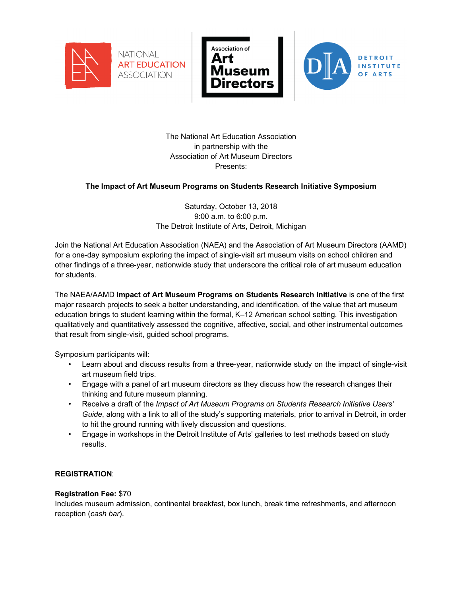





The National Art Education Association in partnership with the Association of Art Museum Directors Presents:

# **The Impact of Art Museum Programs on Students Research Initiative Symposium**

Saturday, October 13, 2018 9:00 a.m. to 6:00 p.m. The Detroit Institute of Arts, Detroit, Michigan

Join the National Art Education Association (NAEA) and the Association of Art Museum Directors (AAMD) for a one-day symposium exploring the impact of single-visit art museum visits on school children and other findings of a three-year, nationwide study that underscore the critical role of art museum education for students.

The NAEA/AAMD **Impact of Art Museum Programs on Students Research Initiative** is one of the first major research projects to seek a better understanding, and identification, of the value that art museum education brings to student learning within the formal, K–12 American school setting. This investigation qualitatively and quantitatively assessed the cognitive, affective, social, and other instrumental outcomes that result from single-visit, guided school programs.

Symposium participants will:

- Learn about and discuss results from a three-year, nationwide study on the impact of single-visit art museum field trips.
- Engage with a panel of art museum directors as they discuss how the research changes their thinking and future museum planning.
- Receive a draft of the *Impact of Art Museum Programs on Students Research Initiative Users' Guide*, along with a link to all of the study's supporting materials, prior to arrival in Detroit, in order to hit the ground running with lively discussion and questions.
- Engage in workshops in the Detroit Institute of Arts' galleries to test methods based on study results.

## **REGISTRATION**:

#### **Registration Fee:** \$70

Includes museum admission, continental breakfast, box lunch, break time refreshments, and afternoon reception (*cash bar*).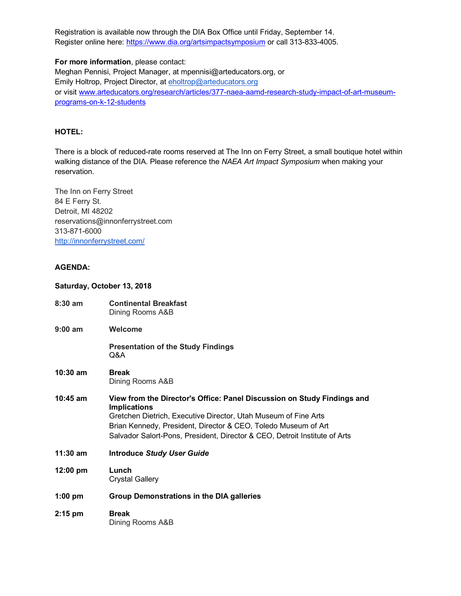Registration is available now through the DIA Box Office until Friday, September 14. Register online here: https://www.dia.org/artsimpactsymposium or call 313-833-4005.

**For more information**, please contact: Meghan Pennisi, Project Manager, at mpennisi@arteducators.org, or Emily Holtrop, Project Director, at eholtrop@arteducators.org or visit www.arteducators.org/research/articles/377-naea-aamd-research-study-impact-of-art-museumprograms-on-k-12-students

### **HOTEL:**

There is a block of reduced-rate rooms reserved at The Inn on Ferry Street, a small boutique hotel within walking distance of the DIA. Please reference the *NAEA Art Impact Symposium* when making your reservation.

The Inn on Ferry Street 84 E Ferry St. Detroit, MI 48202 reservations@innonferrystreet.com 313-871-6000 http://innonferrystreet.com/

### **AGENDA:**

#### **Saturday, October 13, 2018**

| $8:30 \text{ am}$  | <b>Continental Breakfast</b><br>Dining Rooms A&B                                                                                                                                                                                                                                                                  |
|--------------------|-------------------------------------------------------------------------------------------------------------------------------------------------------------------------------------------------------------------------------------------------------------------------------------------------------------------|
| $9:00$ am          | Welcome                                                                                                                                                                                                                                                                                                           |
|                    | <b>Presentation of the Study Findings</b><br>Q&A                                                                                                                                                                                                                                                                  |
| $10:30$ am         | <b>Break</b><br>Dining Rooms A&B                                                                                                                                                                                                                                                                                  |
| $10:45$ am         | View from the Director's Office: Panel Discussion on Study Findings and<br><b>Implications</b><br>Gretchen Dietrich, Executive Director, Utah Museum of Fine Arts<br>Brian Kennedy, President, Director & CEO, Toledo Museum of Art<br>Salvador Salort-Pons, President, Director & CEO, Detroit Institute of Arts |
| $11:30$ am         | <b>Introduce Study User Guide</b>                                                                                                                                                                                                                                                                                 |
| $12:00 \text{ pm}$ | Lunch<br><b>Crystal Gallery</b>                                                                                                                                                                                                                                                                                   |
| $1:00$ pm          | <b>Group Demonstrations in the DIA galleries</b>                                                                                                                                                                                                                                                                  |
| $2:15$ pm          | <b>Break</b><br>Dining Rooms A&B                                                                                                                                                                                                                                                                                  |